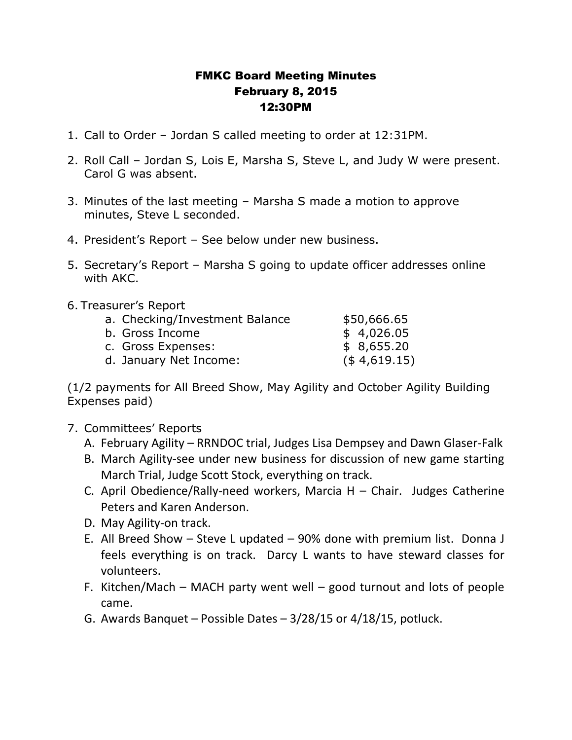## FMKC Board Meeting Minutes February 8, 2015 12:30PM

- 1. Call to Order Jordan S called meeting to order at 12:31PM.
- 2. Roll Call Jordan S, Lois E, Marsha S, Steve L, and Judy W were present. Carol G was absent.
- 3. Minutes of the last meeting Marsha S made a motion to approve minutes, Steve L seconded.
- 4. President's Report See below under new business.
- 5. Secretary's Report Marsha S going to update officer addresses online with AKC.
- 6. Treasurer's Report

| a. Checking/Investment Balance | \$50,666.65     |
|--------------------------------|-----------------|
| b. Gross Income                | \$4,026.05      |
| c. Gross Expenses:             | \$8,655.20      |
| d. January Net Income:         | $($ \$4,619.15) |

(1/2 payments for All Breed Show, May Agility and October Agility Building Expenses paid)

- 7. Committees' Reports
	- A. February Agility RRNDOC trial, Judges Lisa Dempsey and Dawn Glaser-Falk
	- B. March Agility-see under new business for discussion of new game starting March Trial, Judge Scott Stock, everything on track.
	- C. April Obedience/Rally-need workers, Marcia H Chair. Judges Catherine Peters and Karen Anderson.
	- D. May Agility-on track.
	- E. All Breed Show Steve L updated 90% done with premium list. Donna J feels everything is on track. Darcy L wants to have steward classes for volunteers.
	- F. Kitchen/Mach MACH party went well good turnout and lots of people came.
	- G. Awards Banquet Possible Dates 3/28/15 or 4/18/15, potluck.